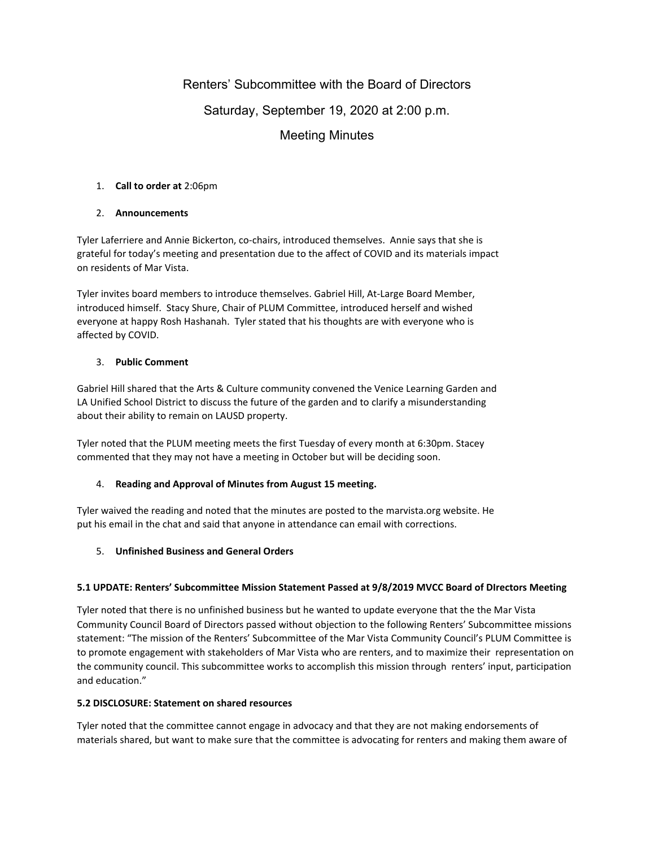# Renters' Subcommittee with the Board of Directors

## Saturday, September 19, 2020 at 2:00 p.m.

# Meeting Minutes

## 1. **Call to order at** 2:06pm

## 2. **Announcements**

Tyler Laferriere and Annie Bickerton, co-chairs, introduced themselves. Annie says that she is grateful for today's meeting and presentation due to the affect of COVID and its materials impact on residents of Mar Vista.

Tyler invites board members to introduce themselves. Gabriel Hill, At-Large Board Member, introduced himself. Stacy Shure, Chair of PLUM Committee, introduced herself and wished everyone at happy Rosh Hashanah. Tyler stated that his thoughts are with everyone who is affected by COVID.

### 3. **Public Comment**

Gabriel Hill shared that the Arts & Culture community convened the Venice Learning Garden and LA Unified School District to discuss the future of the garden and to clarify a misunderstanding about their ability to remain on LAUSD property.

Tyler noted that the PLUM meeting meets the first Tuesday of every month at 6:30pm. Stacey commented that they may not have a meeting in October but will be deciding soon.

## 4. **Reading and Approval of Minutes from August 15 meeting.**

Tyler waived the reading and noted that the minutes are posted to the marvista.org website. He put his email in the chat and said that anyone in attendance can email with corrections.

## 5. **Unfinished Business and General Orders**

## **5.1 UPDATE: Renters' Subcommittee Mission Statement Passed at 9/8/2019 MVCC Board of DIrectors Meeting**

Tyler noted that there is no unfinished business but he wanted to update everyone that the the Mar Vista Community Council Board of Directors passed without objection to the following Renters' Subcommittee missions statement: "The mission of the Renters' Subcommittee of the Mar Vista Community Council's PLUM Committee is to promote engagement with stakeholders of Mar Vista who are renters, and to maximize their representation on the community council. This subcommittee works to accomplish this mission through renters' input, participation and education."

### **5.2 DISCLOSURE: Statement on shared resources**

Tyler noted that the committee cannot engage in advocacy and that they are not making endorsements of materials shared, but want to make sure that the committee is advocating for renters and making them aware of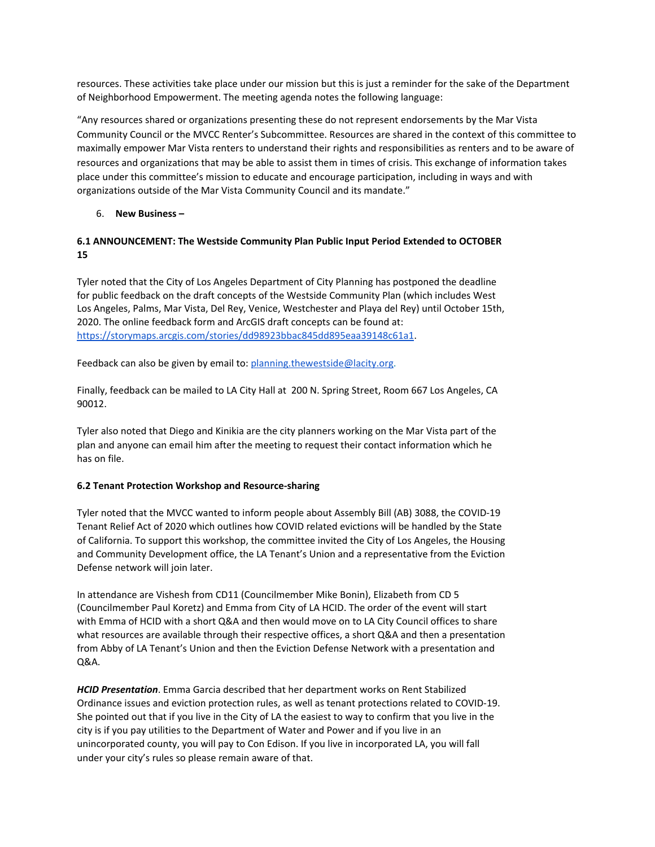resources. These activities take place under our mission but this is just a reminder for the sake of the Department of Neighborhood Empowerment. The meeting agenda notes the following language:

"Any resources shared or organizations presenting these do not represent endorsements by the Mar Vista Community Council or the MVCC Renter's Subcommittee. Resources are shared in the context of this committee to maximally empower Mar Vista renters to understand their rights and responsibilities as renters and to be aware of resources and organizations that may be able to assist them in times of crisis. This exchange of information takes place under this committee's mission to educate and encourage participation, including in ways and with organizations outside of the Mar Vista Community Council and its mandate."

### 6. **New Business –**

## **6.1 ANNOUNCEMENT: The Westside Community Plan Public Input Period Extended to OCTOBER 15**

Tyler noted that the City of Los Angeles Department of City Planning has postponed the deadline for public feedback on the draft concepts of the Westside Community Plan (which includes West Los Angeles, Palms, Mar Vista, Del Rey, Venice, Westchester and Playa del Rey) until October 15th, 2020. The online feedback form and ArcGIS draft concepts can be found at: <https://storymaps.arcgis.com/stories/dd98923bbac845dd895eaa39148c61a1>.

Feedback can also be given by email to: [planning.thewestside@lacity.org.](mailto:planning.thewestside@lacity.org)

Finally, feedback can be mailed to LA City Hall at 200 N. Spring Street, Room 667 Los Angeles, CA 90012.

Tyler also noted that Diego and Kinikia are the city planners working on the Mar Vista part of the plan and anyone can email him after the meeting to request their contact information which he has on file.

### **6.2 Tenant Protection Workshop and Resource-sharing**

Tyler noted that the MVCC wanted to inform people about Assembly Bill (AB) 3088, the COVID-19 Tenant Relief Act of 2020 which outlines how COVID related evictions will be handled by the State of California. To support this workshop, the committee invited the City of Los Angeles, the Housing and Community Development office, the LA Tenant's Union and a representative from the Eviction Defense network will join later.

In attendance are Vishesh from CD11 (Councilmember Mike Bonin), Elizabeth from CD 5 (Councilmember Paul Koretz) and Emma from City of LA HCID. The order of the event will start with Emma of HCID with a short Q&A and then would move on to LA City Council offices to share what resources are available through their respective offices, a short Q&A and then a presentation from Abby of LA Tenant's Union and then the Eviction Defense Network with a presentation and Q&A.

*HCID Presentation*. Emma Garcia described that her department works on Rent Stabilized Ordinance issues and eviction protection rules, as well as tenant protections related to COVID-19. She pointed out that if you live in the City of LA the easiest to way to confirm that you live in the city is if you pay utilities to the Department of Water and Power and if you live in an unincorporated county, you will pay to Con Edison. If you live in incorporated LA, you will fall under your city's rules so please remain aware of that.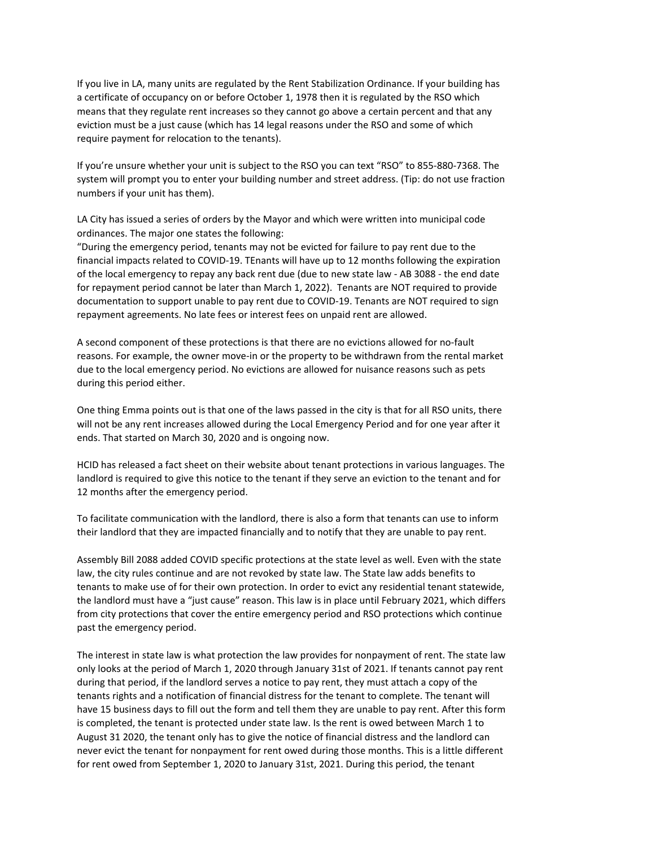If you live in LA, many units are regulated by the Rent Stabilization Ordinance. If your building has a certificate of occupancy on or before October 1, 1978 then it is regulated by the RSO which means that they regulate rent increases so they cannot go above a certain percent and that any eviction must be a just cause (which has 14 legal reasons under the RSO and some of which require payment for relocation to the tenants).

If you're unsure whether your unit is subject to the RSO you can text "RSO" to 855-880-7368. The system will prompt you to enter your building number and street address. (Tip: do not use fraction numbers if your unit has them).

LA City has issued a series of orders by the Mayor and which were written into municipal code ordinances. The major one states the following:

"During the emergency period, tenants may not be evicted for failure to pay rent due to the financial impacts related to COVID-19. TEnants will have up to 12 months following the expiration of the local emergency to repay any back rent due (due to new state law - AB 3088 - the end date for repayment period cannot be later than March 1, 2022). Tenants are NOT required to provide documentation to support unable to pay rent due to COVID-19. Tenants are NOT required to sign repayment agreements. No late fees or interest fees on unpaid rent are allowed.

A second component of these protections is that there are no evictions allowed for no-fault reasons. For example, the owner move-in or the property to be withdrawn from the rental market due to the local emergency period. No evictions are allowed for nuisance reasons such as pets during this period either.

One thing Emma points out is that one of the laws passed in the city is that for all RSO units, there will not be any rent increases allowed during the Local Emergency Period and for one year after it ends. That started on March 30, 2020 and is ongoing now.

HCID has released a fact sheet on their website about tenant protections in various languages. The landlord is required to give this notice to the tenant if they serve an eviction to the tenant and for 12 months after the emergency period.

To facilitate communication with the landlord, there is also a form that tenants can use to inform their landlord that they are impacted financially and to notify that they are unable to pay rent.

Assembly Bill 2088 added COVID specific protections at the state level as well. Even with the state law, the city rules continue and are not revoked by state law. The State law adds benefits to tenants to make use of for their own protection. In order to evict any residential tenant statewide, the landlord must have a "just cause" reason. This law is in place until February 2021, which differs from city protections that cover the entire emergency period and RSO protections which continue past the emergency period.

The interest in state law is what protection the law provides for nonpayment of rent. The state law only looks at the period of March 1, 2020 through January 31st of 2021. If tenants cannot pay rent during that period, if the landlord serves a notice to pay rent, they must attach a copy of the tenants rights and a notification of financial distress for the tenant to complete. The tenant will have 15 business days to fill out the form and tell them they are unable to pay rent. After this form is completed, the tenant is protected under state law. Is the rent is owed between March 1 to August 31 2020, the tenant only has to give the notice of financial distress and the landlord can never evict the tenant for nonpayment for rent owed during those months. This is a little different for rent owed from September 1, 2020 to January 31st, 2021. During this period, the tenant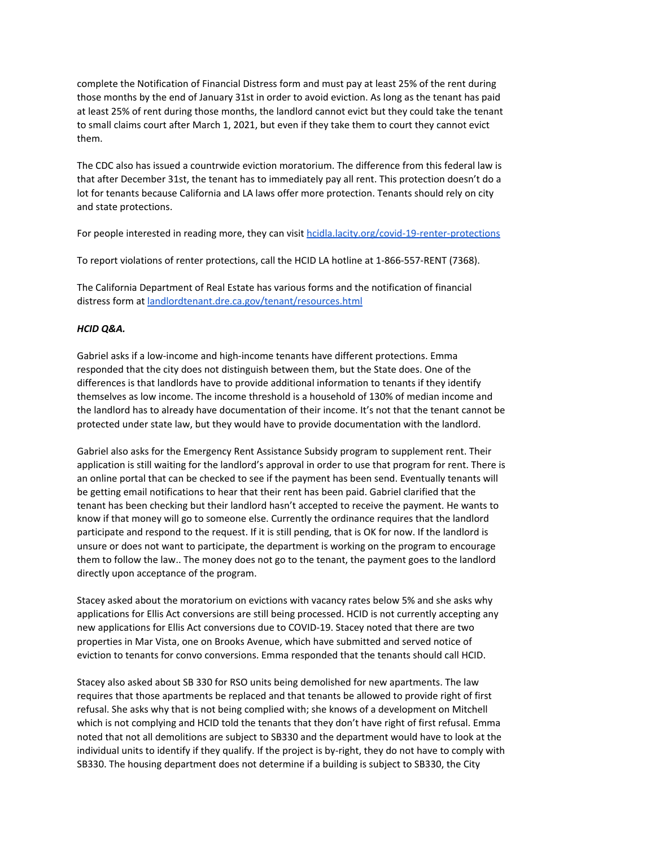complete the Notification of Financial Distress form and must pay at least 25% of the rent during those months by the end of January 31st in order to avoid eviction. As long as the tenant has paid at least 25% of rent during those months, the landlord cannot evict but they could take the tenant to small claims court after March 1, 2021, but even if they take them to court they cannot evict them.

The CDC also has issued a countrwide eviction moratorium. The difference from this federal law is that after December 31st, the tenant has to immediately pay all rent. This protection doesn't do a lot for tenants because California and LA laws offer more protection. Tenants should rely on city and state protections.

For people interested in reading more, they can visit [hcidla.lacity.org/covid-19-renter-protections](https://hcidla.lacity.org/covid-19-renter-protections)

To report violations of renter protections, call the HCID LA hotline at 1-866-557-RENT (7368).

The California Department of Real Estate has various forms and the notification of financial distress form at [landlordtenant.dre.ca.gov/tenant/resources.html](http://landlordtenant.dre.ca.gov/tenant/resources.html)

#### *HCID Q&A.*

Gabriel asks if a low-income and high-income tenants have different protections. Emma responded that the city does not distinguish between them, but the State does. One of the differences is that landlords have to provide additional information to tenants if they identify themselves as low income. The income threshold is a household of 130% of median income and the landlord has to already have documentation of their income. It's not that the tenant cannot be protected under state law, but they would have to provide documentation with the landlord.

Gabriel also asks for the Emergency Rent Assistance Subsidy program to supplement rent. Their application is still waiting for the landlord's approval in order to use that program for rent. There is an online portal that can be checked to see if the payment has been send. Eventually tenants will be getting email notifications to hear that their rent has been paid. Gabriel clarified that the tenant has been checking but their landlord hasn't accepted to receive the payment. He wants to know if that money will go to someone else. Currently the ordinance requires that the landlord participate and respond to the request. If it is still pending, that is OK for now. If the landlord is unsure or does not want to participate, the department is working on the program to encourage them to follow the law.. The money does not go to the tenant, the payment goes to the landlord directly upon acceptance of the program.

Stacey asked about the moratorium on evictions with vacancy rates below 5% and she asks why applications for Ellis Act conversions are still being processed. HCID is not currently accepting any new applications for Ellis Act conversions due to COVID-19. Stacey noted that there are two properties in Mar Vista, one on Brooks Avenue, which have submitted and served notice of eviction to tenants for convo conversions. Emma responded that the tenants should call HCID.

Stacey also asked about SB 330 for RSO units being demolished for new apartments. The law requires that those apartments be replaced and that tenants be allowed to provide right of first refusal. She asks why that is not being complied with; she knows of a development on Mitchell which is not complying and HCID told the tenants that they don't have right of first refusal. Emma noted that not all demolitions are subject to SB330 and the department would have to look at the individual units to identify if they qualify. If the project is by-right, they do not have to comply with SB330. The housing department does not determine if a building is subject to SB330, the City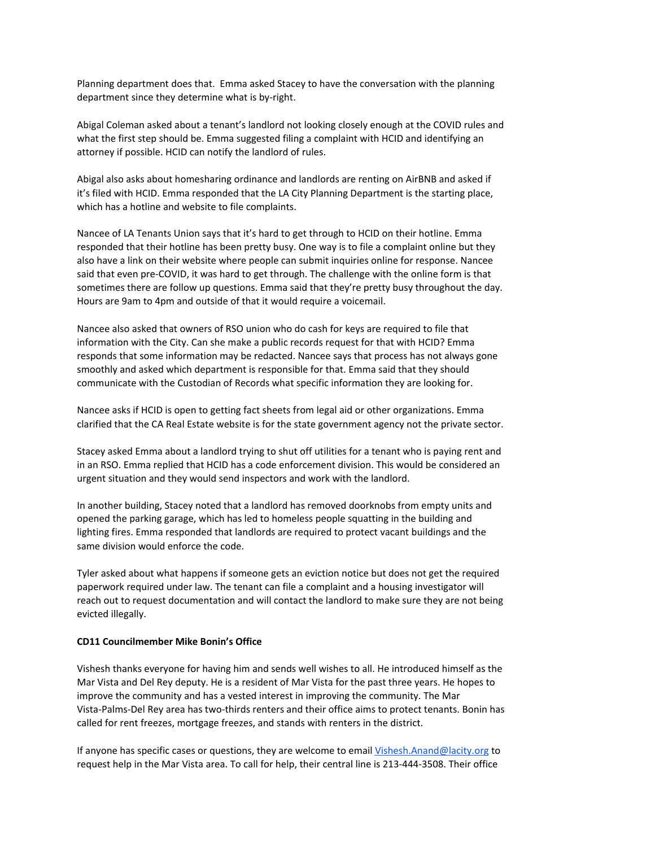Planning department does that. Emma asked Stacey to have the conversation with the planning department since they determine what is by-right.

Abigal Coleman asked about a tenant's landlord not looking closely enough at the COVID rules and what the first step should be. Emma suggested filing a complaint with HCID and identifying an attorney if possible. HCID can notify the landlord of rules.

Abigal also asks about homesharing ordinance and landlords are renting on AirBNB and asked if it's filed with HCID. Emma responded that the LA City Planning Department is the starting place, which has a hotline and website to file complaints.

Nancee of LA Tenants Union says that it's hard to get through to HCID on their hotline. Emma responded that their hotline has been pretty busy. One way is to file a complaint online but they also have a link on their website where people can submit inquiries online for response. Nancee said that even pre-COVID, it was hard to get through. The challenge with the online form is that sometimes there are follow up questions. Emma said that they're pretty busy throughout the day. Hours are 9am to 4pm and outside of that it would require a voicemail.

Nancee also asked that owners of RSO union who do cash for keys are required to file that information with the City. Can she make a public records request for that with HCID? Emma responds that some information may be redacted. Nancee says that process has not always gone smoothly and asked which department is responsible for that. Emma said that they should communicate with the Custodian of Records what specific information they are looking for.

Nancee asks if HCID is open to getting fact sheets from legal aid or other organizations. Emma clarified that the CA Real Estate website is for the state government agency not the private sector.

Stacey asked Emma about a landlord trying to shut off utilities for a tenant who is paying rent and in an RSO. Emma replied that HCID has a code enforcement division. This would be considered an urgent situation and they would send inspectors and work with the landlord.

In another building, Stacey noted that a landlord has removed doorknobs from empty units and opened the parking garage, which has led to homeless people squatting in the building and lighting fires. Emma responded that landlords are required to protect vacant buildings and the same division would enforce the code.

Tyler asked about what happens if someone gets an eviction notice but does not get the required paperwork required under law. The tenant can file a complaint and a housing investigator will reach out to request documentation and will contact the landlord to make sure they are not being evicted illegally.

#### **CD11 Councilmember Mike Bonin's Office**

Vishesh thanks everyone for having him and sends well wishes to all. He introduced himself as the Mar Vista and Del Rey deputy. He is a resident of Mar Vista for the past three years. He hopes to improve the community and has a vested interest in improving the community. The Mar Vista-Palms-Del Rey area has two-thirds renters and their office aims to protect tenants. Bonin has called for rent freezes, mortgage freezes, and stands with renters in the district.

If anyone has specific cases or questions, they are welcome to email [Vishesh.Anand@lacity.org](mailto:Vishesh.Anand@lacity.org) to request help in the Mar Vista area. To call for help, their central line is 213-444-3508. Their office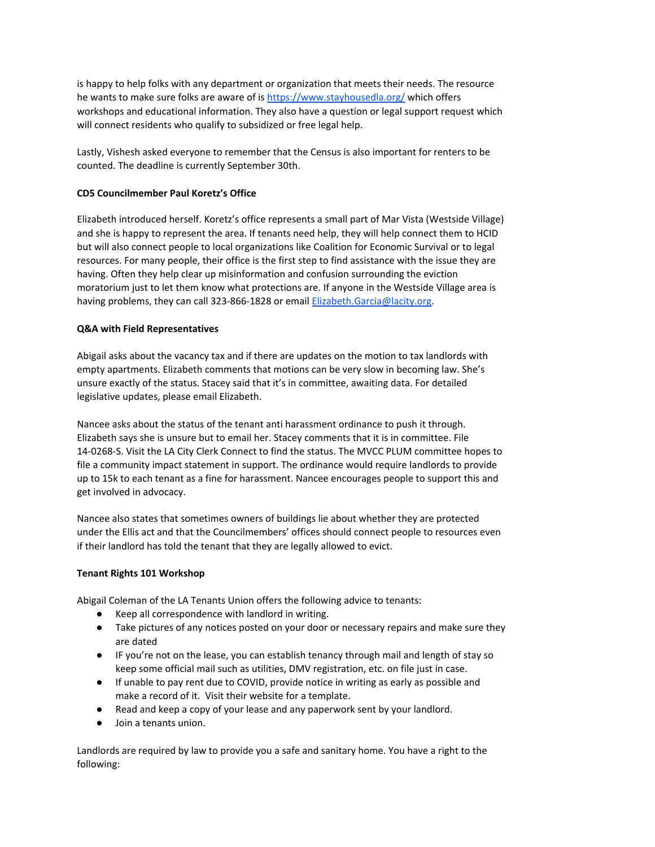is happy to help folks with any department or organization that meets their needs. The resource he wants to make sure folks are aware of is <https://www.stayhousedla.org/> which offers workshops and educational information. They also have a question or legal support request which will connect residents who qualify to subsidized or free legal help.

Lastly, Vishesh asked everyone to remember that the Census is also important for renters to be counted. The deadline is currently September 30th.

#### **CD5 Councilmember Paul Koretz's Office**

Elizabeth introduced herself. Koretz's office represents a small part of Mar Vista (Westside Village) and she is happy to represent the area. If tenants need help, they will help connect them to HCID but will also connect people to local organizations like Coalition for Economic Survival or to legal resources. For many people, their office is the first step to find assistance with the issue they are having. Often they help clear up misinformation and confusion surrounding the eviction moratorium just to let them know what protections are. If anyone in the Westside Village area is having problems, they can call 323-866-1828 or email [Elizabeth.Garcia@lacity.org.](mailto:Elizabeth.Garcia@lacity.org)

#### **Q&A with Field Representatives**

Abigail asks about the vacancy tax and if there are updates on the motion to tax landlords with empty apartments. Elizabeth comments that motions can be very slow in becoming law. She's unsure exactly of the status. Stacey said that it's in committee, awaiting data. For detailed legislative updates, please email Elizabeth.

Nancee asks about the status of the tenant anti harassment ordinance to push it through. Elizabeth says she is unsure but to email her. Stacey comments that it is in committee. File 14-0268-S. Visit the LA City Clerk Connect to find the status. The MVCC PLUM committee hopes to file a community impact statement in support. The ordinance would require landlords to provide up to 15k to each tenant as a fine for harassment. Nancee encourages people to support this and get involved in advocacy.

Nancee also states that sometimes owners of buildings lie about whether they are protected under the Ellis act and that the Councilmembers' offices should connect people to resources even if their landlord has told the tenant that they are legally allowed to evict.

#### **Tenant Rights 101 Workshop**

Abigail Coleman of the LA Tenants Union offers the following advice to tenants:

- Keep all correspondence with landlord in writing.
- Take pictures of any notices posted on your door or necessary repairs and make sure they are dated
- IF you're not on the lease, you can establish tenancy through mail and length of stay so keep some official mail such as utilities, DMV registration, etc. on file just in case.
- If unable to pay rent due to COVID, provide notice in writing as early as possible and make a record of it. Visit their website for a template.
- Read and keep a copy of your lease and any paperwork sent by your landlord.
- Join a tenants union.

Landlords are required by law to provide you a safe and sanitary home. You have a right to the following: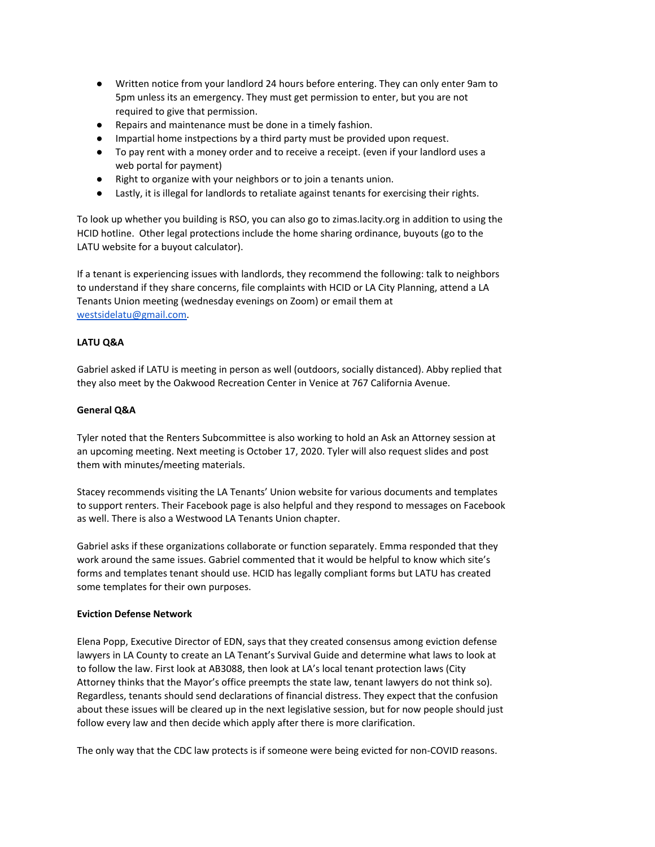- Written notice from your landlord 24 hours before entering. They can only enter 9am to 5pm unless its an emergency. They must get permission to enter, but you are not required to give that permission.
- Repairs and maintenance must be done in a timely fashion.
- Impartial home instpections by a third party must be provided upon request.
- To pay rent with a money order and to receive a receipt. (even if your landlord uses a web portal for payment)
- Right to organize with your neighbors or to join a tenants union.
- Lastly, it is illegal for landlords to retaliate against tenants for exercising their rights.

To look up whether you building is RSO, you can also go to zimas.lacity.org in addition to using the HCID hotline. Other legal protections include the home sharing ordinance, buyouts (go to the LATU website for a buyout calculator).

If a tenant is experiencing issues with landlords, they recommend the following: talk to neighbors to understand if they share concerns, file complaints with HCID or LA City Planning, attend a LA Tenants Union meeting (wednesday evenings on Zoom) or email them at [westsidelatu@gmail.com.](mailto:westsidelatu@gmail.com)

### **LATU Q&A**

Gabriel asked if LATU is meeting in person as well (outdoors, socially distanced). Abby replied that they also meet by the Oakwood Recreation Center in Venice at 767 California Avenue.

#### **General Q&A**

Tyler noted that the Renters Subcommittee is also working to hold an Ask an Attorney session at an upcoming meeting. Next meeting is October 17, 2020. Tyler will also request slides and post them with minutes/meeting materials.

Stacey recommends visiting the LA Tenants' Union website for various documents and templates to support renters. Their Facebook page is also helpful and they respond to messages on Facebook as well. There is also a Westwood LA Tenants Union chapter.

Gabriel asks if these organizations collaborate or function separately. Emma responded that they work around the same issues. Gabriel commented that it would be helpful to know which site's forms and templates tenant should use. HCID has legally compliant forms but LATU has created some templates for their own purposes.

### **Eviction Defense Network**

Elena Popp, Executive Director of EDN, says that they created consensus among eviction defense lawyers in LA County to create an LA Tenant's Survival Guide and determine what laws to look at to follow the law. First look at AB3088, then look at LA's local tenant protection laws (City Attorney thinks that the Mayor's office preempts the state law, tenant lawyers do not think so). Regardless, tenants should send declarations of financial distress. They expect that the confusion about these issues will be cleared up in the next legislative session, but for now people should just follow every law and then decide which apply after there is more clarification.

The only way that the CDC law protects is if someone were being evicted for non-COVID reasons.